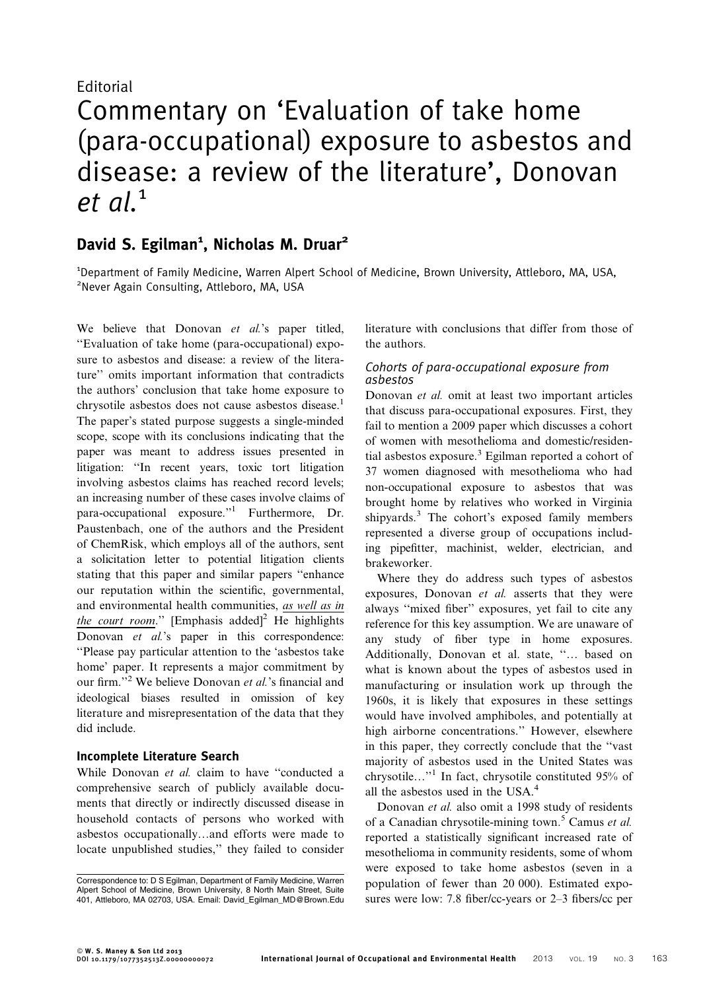## Editorial

# Commentary on 'Evaluation of take home (para-occupational) exposure to asbestos and disease: a review of the literature', Donovan  $et$  al.<sup>1</sup>

# David S. Egilman<sup>1</sup>, Nicholas M. Druar<sup>2</sup>

<sup>1</sup>Department of Family Medicine, Warren Alpert School of Medicine, Brown University, Attleboro, MA, USA, <sup>2</sup>Never Again Consulting, Attleboro, MA, USA

We believe that Donovan et al.'s paper titled, ''Evaluation of take home (para-occupational) exposure to asbestos and disease: a review of the literature'' omits important information that contradicts the authors' conclusion that take home exposure to chrysotile asbestos does not cause asbestos disease.<sup>1</sup> The paper's stated purpose suggests a single-minded scope, scope with its conclusions indicating that the paper was meant to address issues presented in litigation: ''In recent years, toxic tort litigation involving asbestos claims has reached record levels; an increasing number of these cases involve claims of para-occupational exposure.''1 Furthermore, Dr. Paustenbach, one of the authors and the President of ChemRisk, which employs all of the authors, sent a solicitation letter to potential litigation clients stating that this paper and similar papers ''enhance our reputation within the scientific, governmental, and environmental health communities, as well as in the court room." [Emphasis added]<sup>2</sup> He highlights Donovan et al.'s paper in this correspondence: ''Please pay particular attention to the 'asbestos take home' paper. It represents a major commitment by our firm.''<sup>2</sup> We believe Donovan et al.'s financial and ideological biases resulted in omission of key literature and misrepresentation of the data that they did include.

### Incomplete Literature Search

While Donovan et al. claim to have "conducted a comprehensive search of publicly available documents that directly or indirectly discussed disease in household contacts of persons who worked with asbestos occupationally…and efforts were made to locate unpublished studies,'' they failed to consider

literature with conclusions that differ from those of the authors.

### Cohorts of para-occupational exposure from asbestos

Donovan et al. omit at least two important articles that discuss para-occupational exposures. First, they fail to mention a 2009 paper which discusses a cohort of women with mesothelioma and domestic/residential asbestos exposure.<sup>3</sup> Egilman reported a cohort of 37 women diagnosed with mesothelioma who had non-occupational exposure to asbestos that was brought home by relatives who worked in Virginia shipyards.<sup>3</sup> The cohort's exposed family members represented a diverse group of occupations including pipefitter, machinist, welder, electrician, and brakeworker.

Where they do address such types of asbestos exposures, Donovan et al. asserts that they were always ''mixed fiber'' exposures, yet fail to cite any reference for this key assumption. We are unaware of any study of fiber type in home exposures. Additionally, Donovan et al. state, ''… based on what is known about the types of asbestos used in manufacturing or insulation work up through the 1960s, it is likely that exposures in these settings would have involved amphiboles, and potentially at high airborne concentrations.'' However, elsewhere in this paper, they correctly conclude that the ''vast majority of asbestos used in the United States was chrysotile…''<sup>1</sup> In fact, chrysotile constituted 95% of all the asbestos used in the USA.<sup>4</sup>

Donovan et al. also omit a 1998 study of residents of a Canadian chrysotile-mining town.<sup>5</sup> Camus *et al.* reported a statistically significant increased rate of mesothelioma in community residents, some of whom were exposed to take home asbestos (seven in a population of fewer than 20 000). Estimated exposures were low: 7.8 fiber/cc-years or 2–3 fibers/cc per

Correspondence to: D S Egilman, Department of Family Medicine, Warren Alpert School of Medicine, Brown University, 8 North Main Street, Suite 401, Attleboro, MA 02703, USA. Email: David\_Egilman\_MD@Brown.Edu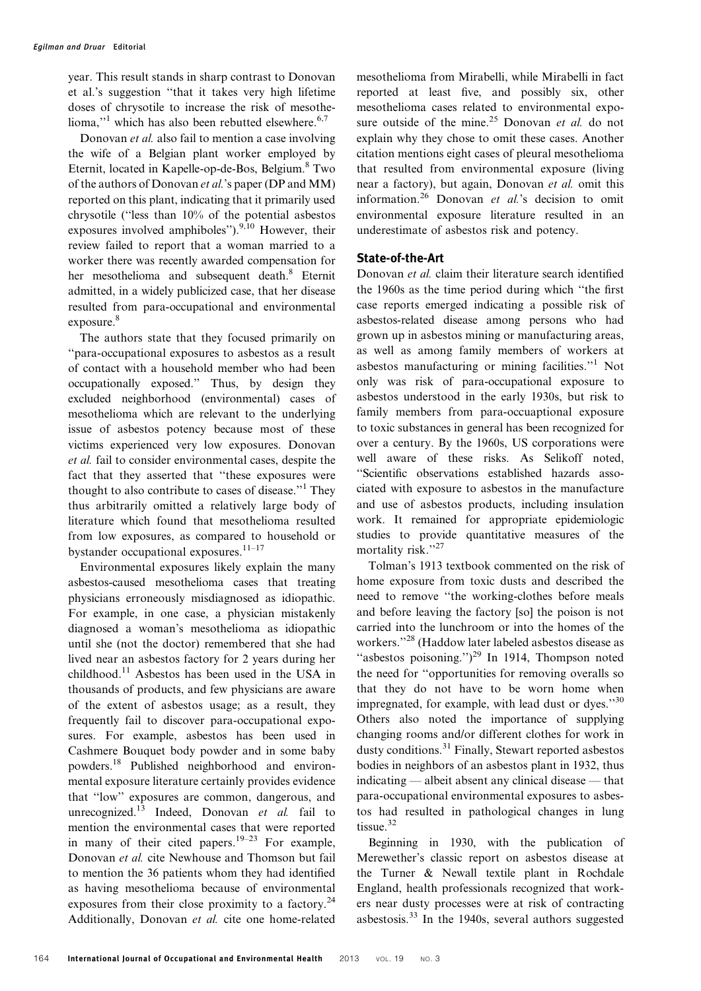year. This result stands in sharp contrast to Donovan et al.'s suggestion ''that it takes very high lifetime doses of chrysotile to increase the risk of mesothelioma,"<sup>1</sup> which has also been rebutted elsewhere. $6,7$ 

Donovan et al. also fail to mention a case involving the wife of a Belgian plant worker employed by Eternit, located in Kapelle-op-de-Bos, Belgium.<sup>8</sup> Two of the authors of Donovan et al.'s paper (DP and MM) reported on this plant, indicating that it primarily used chrysotile (''less than 10% of the potential asbestos exposures involved amphiboles"). $9,10$  However, their review failed to report that a woman married to a worker there was recently awarded compensation for her mesothelioma and subsequent death.<sup>8</sup> Eternit admitted, in a widely publicized case, that her disease resulted from para-occupational and environmental exposure.<sup>8</sup>

The authors state that they focused primarily on ''para-occupational exposures to asbestos as a result of contact with a household member who had been occupationally exposed.'' Thus, by design they excluded neighborhood (environmental) cases of mesothelioma which are relevant to the underlying issue of asbestos potency because most of these victims experienced very low exposures. Donovan et al. fail to consider environmental cases, despite the fact that they asserted that ''these exposures were thought to also contribute to cases of disease.''<sup>1</sup> They thus arbitrarily omitted a relatively large body of literature which found that mesothelioma resulted from low exposures, as compared to household or bystander occupational exposures. $11-17$ 

Environmental exposures likely explain the many asbestos-caused mesothelioma cases that treating physicians erroneously misdiagnosed as idiopathic. For example, in one case, a physician mistakenly diagnosed a woman's mesothelioma as idiopathic until she (not the doctor) remembered that she had lived near an asbestos factory for 2 years during her childhood.11 Asbestos has been used in the USA in thousands of products, and few physicians are aware of the extent of asbestos usage; as a result, they frequently fail to discover para-occupational exposures. For example, asbestos has been used in Cashmere Bouquet body powder and in some baby powders.18 Published neighborhood and environmental exposure literature certainly provides evidence that ''low'' exposures are common, dangerous, and unrecognized.<sup>13</sup> Indeed, Donovan et al. fail to mention the environmental cases that were reported in many of their cited papers.<sup>19–23</sup> For example, Donovan et al. cite Newhouse and Thomson but fail to mention the 36 patients whom they had identified as having mesothelioma because of environmental exposures from their close proximity to a factory.<sup>24</sup> Additionally, Donovan et al. cite one home-related

mesothelioma from Mirabelli, while Mirabelli in fact reported at least five, and possibly six, other mesothelioma cases related to environmental exposure outside of the mine.<sup>25</sup> Donovan et al. do not explain why they chose to omit these cases. Another citation mentions eight cases of pleural mesothelioma that resulted from environmental exposure (living near a factory), but again, Donovan et al. omit this information.<sup>26</sup> Donovan et al.'s decision to omit environmental exposure literature resulted in an underestimate of asbestos risk and potency.

### State-of-the-Art

Donovan et al. claim their literature search identified the 1960s as the time period during which ''the first case reports emerged indicating a possible risk of asbestos-related disease among persons who had grown up in asbestos mining or manufacturing areas, as well as among family members of workers at asbestos manufacturing or mining facilities.''<sup>1</sup> Not only was risk of para-occupational exposure to asbestos understood in the early 1930s, but risk to family members from para-occuaptional exposure to toxic substances in general has been recognized for over a century. By the 1960s, US corporations were well aware of these risks. As Selikoff noted, ''Scientific observations established hazards associated with exposure to asbestos in the manufacture and use of asbestos products, including insulation work. It remained for appropriate epidemiologic studies to provide quantitative measures of the mortality risk."<sup>27</sup>

Tolman's 1913 textbook commented on the risk of home exposure from toxic dusts and described the need to remove ''the working-clothes before meals and before leaving the factory [so] the poison is not carried into the lunchroom or into the homes of the workers.''<sup>28</sup> (Haddow later labeled asbestos disease as "asbestos poisoning.")<sup>29</sup> In 1914, Thompson noted the need for ''opportunities for removing overalls so that they do not have to be worn home when impregnated, for example, with lead dust or dyes."<sup>30</sup> Others also noted the importance of supplying changing rooms and/or different clothes for work in dusty conditions.<sup>31</sup> Finally, Stewart reported asbestos bodies in neighbors of an asbestos plant in 1932, thus indicating — albeit absent any clinical disease — that para-occupational environmental exposures to asbestos had resulted in pathological changes in lung tissue.<sup>32</sup>

Beginning in 1930, with the publication of Merewether's classic report on asbestos disease at the Turner & Newall textile plant in Rochdale England, health professionals recognized that workers near dusty processes were at risk of contracting asbestosis.<sup>33</sup> In the 1940s, several authors suggested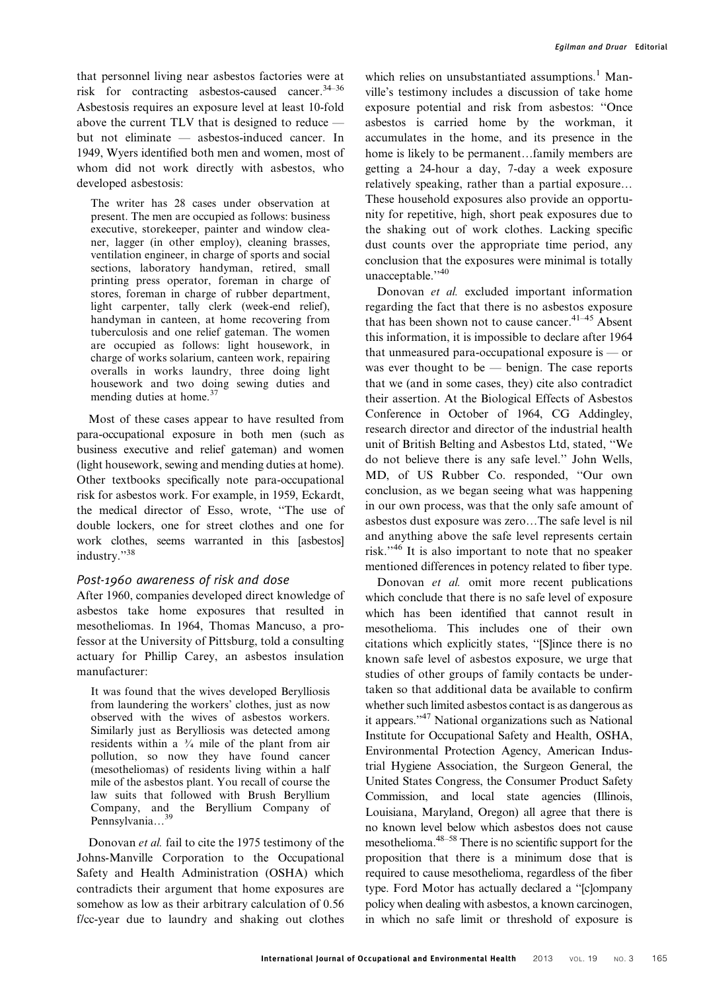that personnel living near asbestos factories were at risk for contracting asbestos-caused cancer.34–36 Asbestosis requires an exposure level at least 10-fold above the current TLV that is designed to reduce but not eliminate — asbestos-induced cancer. In 1949, Wyers identified both men and women, most of whom did not work directly with asbestos, who developed asbestosis:

The writer has 28 cases under observation at present. The men are occupied as follows: business executive, storekeeper, painter and window cleaner, lagger (in other employ), cleaning brasses, ventilation engineer, in charge of sports and social sections, laboratory handyman, retired, small printing press operator, foreman in charge of stores, foreman in charge of rubber department, light carpenter, tally clerk (week-end relief), handyman in canteen, at home recovering from tuberculosis and one relief gateman. The women are occupied as follows: light housework, in charge of works solarium, canteen work, repairing overalls in works laundry, three doing light housework and two doing sewing duties and mending duties at home.<sup>37</sup>

Most of these cases appear to have resulted from para-occupational exposure in both men (such as business executive and relief gateman) and women (light housework, sewing and mending duties at home). Other textbooks specifically note para-occupational risk for asbestos work. For example, in 1959, Eckardt, the medical director of Esso, wrote, ''The use of double lockers, one for street clothes and one for work clothes, seems warranted in this [asbestos] industry."<sup>38</sup>

#### Post-1960 awareness of risk and dose

After 1960, companies developed direct knowledge of asbestos take home exposures that resulted in mesotheliomas. In 1964, Thomas Mancuso, a professor at the University of Pittsburg, told a consulting actuary for Phillip Carey, an asbestos insulation manufacturer:

It was found that the wives developed Berylliosis from laundering the workers' clothes, just as now observed with the wives of asbestos workers. Similarly just as Berylliosis was detected among residents within a  $\frac{1}{4}$  mile of the plant from air pollution, so now they have found cancer (mesotheliomas) of residents living within a half mile of the asbestos plant. You recall of course the law suits that followed with Brush Beryllium Company, and the Beryllium Company of Pennsylvania…39

Donovan et al. fail to cite the 1975 testimony of the Johns-Manville Corporation to the Occupational Safety and Health Administration (OSHA) which contradicts their argument that home exposures are somehow as low as their arbitrary calculation of 0.56 f/cc-year due to laundry and shaking out clothes which relies on unsubstantiated assumptions.<sup>1</sup> Manville's testimony includes a discussion of take home exposure potential and risk from asbestos: ''Once asbestos is carried home by the workman, it accumulates in the home, and its presence in the home is likely to be permanent…family members are getting a 24-hour a day, 7-day a week exposure relatively speaking, rather than a partial exposure… These household exposures also provide an opportunity for repetitive, high, short peak exposures due to the shaking out of work clothes. Lacking specific dust counts over the appropriate time period, any conclusion that the exposures were minimal is totally unacceptable."<sup>40</sup>

Donovan et al. excluded important information regarding the fact that there is no asbestos exposure that has been shown not to cause cancer.  $41-45$  Absent this information, it is impossible to declare after 1964 that unmeasured para-occupational exposure is — or was ever thought to be — benign. The case reports that we (and in some cases, they) cite also contradict their assertion. At the Biological Effects of Asbestos Conference in October of 1964, CG Addingley, research director and director of the industrial health unit of British Belting and Asbestos Ltd, stated, ''We do not believe there is any safe level.'' John Wells, MD, of US Rubber Co. responded, ''Our own conclusion, as we began seeing what was happening in our own process, was that the only safe amount of asbestos dust exposure was zero…The safe level is nil and anything above the safe level represents certain risk.''<sup>46</sup> It is also important to note that no speaker mentioned differences in potency related to fiber type.

Donovan et al. omit more recent publications which conclude that there is no safe level of exposure which has been identified that cannot result in mesothelioma. This includes one of their own citations which explicitly states, ''[S]ince there is no known safe level of asbestos exposure, we urge that studies of other groups of family contacts be undertaken so that additional data be available to confirm whether such limited asbestos contact is as dangerous as it appears.''47 National organizations such as National Institute for Occupational Safety and Health, OSHA, Environmental Protection Agency, American Industrial Hygiene Association, the Surgeon General, the United States Congress, the Consumer Product Safety Commission, and local state agencies (Illinois, Louisiana, Maryland, Oregon) all agree that there is no known level below which asbestos does not cause mesothelioma.48–58 There is no scientific support for the proposition that there is a minimum dose that is required to cause mesothelioma, regardless of the fiber type. Ford Motor has actually declared a ''[c]ompany policy when dealing with asbestos, a known carcinogen, in which no safe limit or threshold of exposure is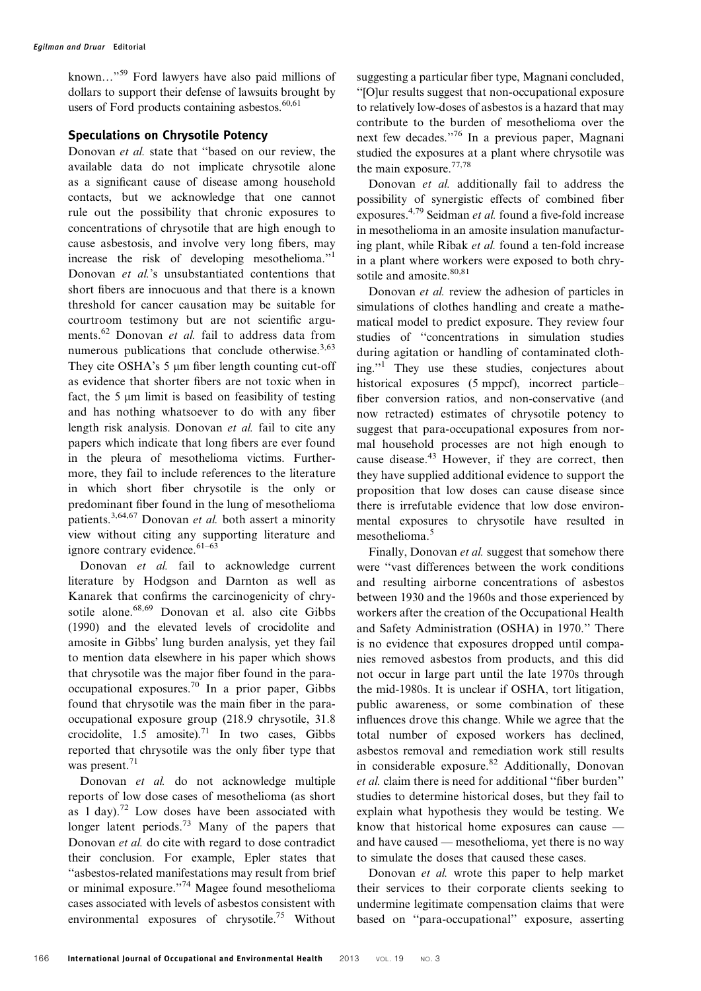known..."<sup>59</sup> Ford lawyers have also paid millions of dollars to support their defense of lawsuits brought by users of Ford products containing asbestos. $60,61$ 

### Speculations on Chrysotile Potency

Donovan et al. state that ''based on our review, the available data do not implicate chrysotile alone as a significant cause of disease among household contacts, but we acknowledge that one cannot rule out the possibility that chronic exposures to concentrations of chrysotile that are high enough to cause asbestosis, and involve very long fibers, may increase the risk of developing mesothelioma.''1 Donovan *et al.*'s unsubstantiated contentions that short fibers are innocuous and that there is a known threshold for cancer causation may be suitable for courtroom testimony but are not scientific arguments.<sup>62</sup> Donovan *et al.* fail to address data from numerous publications that conclude otherwise. $3,63$ They cite OSHA's  $5 \mu m$  fiber length counting cut-off as evidence that shorter fibers are not toxic when in fact, the  $5 \mu m$  limit is based on feasibility of testing and has nothing whatsoever to do with any fiber length risk analysis. Donovan et al. fail to cite any papers which indicate that long fibers are ever found in the pleura of mesothelioma victims. Furthermore, they fail to include references to the literature in which short fiber chrysotile is the only or predominant fiber found in the lung of mesothelioma patients.<sup>3,64,67</sup> Donovan et al. both assert a minority view without citing any supporting literature and ignore contrary evidence.  $61-63$ 

Donovan et al. fail to acknowledge current literature by Hodgson and Darnton as well as Kanarek that confirms the carcinogenicity of chrysotile alone.68,69 Donovan et al. also cite Gibbs (1990) and the elevated levels of crocidolite and amosite in Gibbs' lung burden analysis, yet they fail to mention data elsewhere in his paper which shows that chrysotile was the major fiber found in the paraoccupational exposures.<sup>70</sup> In a prior paper, Gibbs found that chrysotile was the main fiber in the paraoccupational exposure group (218.9 chrysotile, 31.8 crocidolite,  $1.5$  amosite).<sup>71</sup> In two cases, Gibbs reported that chrysotile was the only fiber type that was present.<sup>71</sup>

Donovan et al. do not acknowledge multiple reports of low dose cases of mesothelioma (as short as  $1 \text{ day}$ .<sup>72</sup> Low doses have been associated with longer latent periods.<sup>73</sup> Many of the papers that Donovan et al. do cite with regard to dose contradict their conclusion. For example, Epler states that ''asbestos-related manifestations may result from brief or minimal exposure.''74 Magee found mesothelioma cases associated with levels of asbestos consistent with environmental exposures of chrysotile.<sup>75</sup> Without

suggesting a particular fiber type, Magnani concluded, ''[O]ur results suggest that non-occupational exposure to relatively low-doses of asbestos is a hazard that may contribute to the burden of mesothelioma over the next few decades."<sup>76</sup> In a previous paper, Magnani studied the exposures at a plant where chrysotile was the main exposure.77,78

Donovan et al. additionally fail to address the possibility of synergistic effects of combined fiber exposures.<sup>4,79</sup> Seidman *et al.* found a five-fold increase in mesothelioma in an amosite insulation manufacturing plant, while Ribak et al. found a ten-fold increase in a plant where workers were exposed to both chrysotile and amosite.<sup>80,81</sup>

Donovan et al. review the adhesion of particles in simulations of clothes handling and create a mathematical model to predict exposure. They review four studies of ''concentrations in simulation studies during agitation or handling of contaminated clothing.''1 They use these studies, conjectures about historical exposures (5 mppcf), incorrect particle– fiber conversion ratios, and non-conservative (and now retracted) estimates of chrysotile potency to suggest that para-occupational exposures from normal household processes are not high enough to cause disease.<sup>43</sup> However, if they are correct, then they have supplied additional evidence to support the proposition that low doses can cause disease since there is irrefutable evidence that low dose environmental exposures to chrysotile have resulted in mesothelioma.<sup>5</sup>

Finally, Donovan et al. suggest that somehow there were ''vast differences between the work conditions and resulting airborne concentrations of asbestos between 1930 and the 1960s and those experienced by workers after the creation of the Occupational Health and Safety Administration (OSHA) in 1970.'' There is no evidence that exposures dropped until companies removed asbestos from products, and this did not occur in large part until the late 1970s through the mid-1980s. It is unclear if OSHA, tort litigation, public awareness, or some combination of these influences drove this change. While we agree that the total number of exposed workers has declined, asbestos removal and remediation work still results in considerable exposure.<sup>82</sup> Additionally, Donovan et al. claim there is need for additional ''fiber burden'' studies to determine historical doses, but they fail to explain what hypothesis they would be testing. We know that historical home exposures can cause and have caused — mesothelioma, yet there is no way to simulate the doses that caused these cases.

Donovan et al. wrote this paper to help market their services to their corporate clients seeking to undermine legitimate compensation claims that were based on ''para-occupational'' exposure, asserting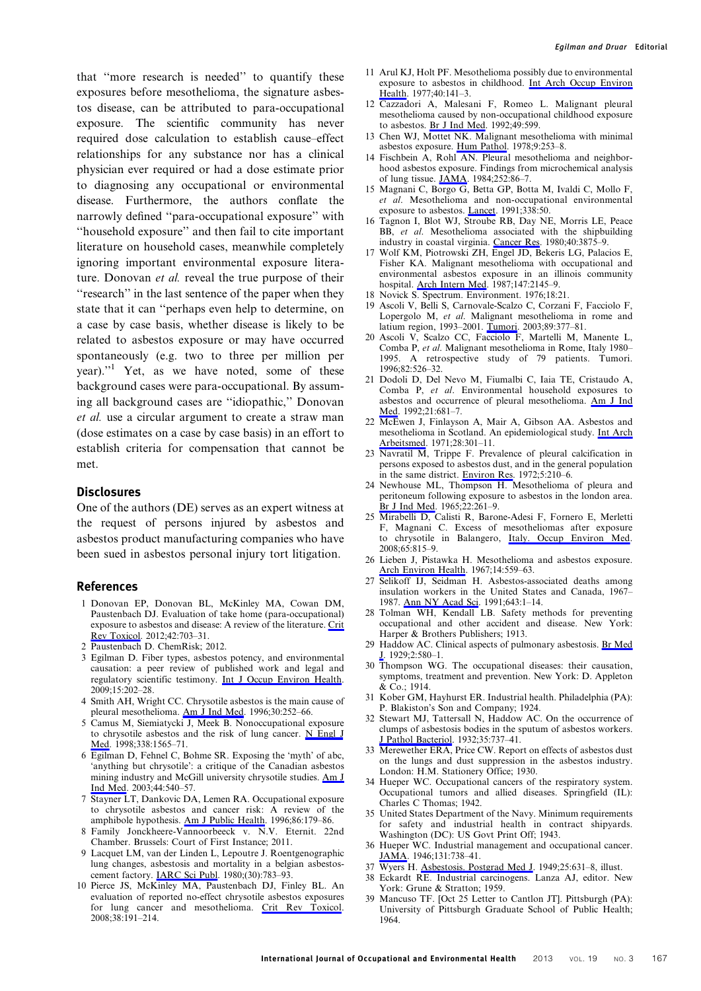that ''more research is needed'' to quantify these exposures before mesothelioma, the signature asbestos disease, can be attributed to para-occupational exposure. The scientific community has never required dose calculation to establish cause–effect relationships for any substance nor has a clinical physician ever required or had a dose estimate prior to diagnosing any occupational or environmental disease. Furthermore, the authors conflate the narrowly defined ''para-occupational exposure'' with ''household exposure'' and then fail to cite important literature on household cases, meanwhile completely ignoring important environmental exposure literature. Donovan et al. reveal the true purpose of their "research" in the last sentence of the paper when they state that it can ''perhaps even help to determine, on a case by case basis, whether disease is likely to be related to asbestos exposure or may have occurred spontaneously (e.g. two to three per million per year).''1 Yet, as we have noted, some of these background cases were para-occupational. By assuming all background cases are ''idiopathic,'' Donovan et al. use a circular argument to create a straw man (dose estimates on a case by case basis) in an effort to establish criteria for compensation that cannot be met.

#### **Disclosures**

One of the authors (DE) serves as an expert witness at the request of persons injured by asbestos and asbestos product manufacturing companies who have been sued in asbestos personal injury tort litigation.

#### References

- 1 Donovan EP, Donovan BL, McKinley MA, Cowan DM, Paustenbach DJ. Evaluation of take home (para-occupational) exposure to asbestos and disease: A review of the literature. [Crit](http://www.maneyonline.com/action/showLinks?pmid=22913651&crossref=10.3109%2F10408444.2012.709821&isi=000308952800001) [Rev Toxicol](http://www.maneyonline.com/action/showLinks?pmid=22913651&crossref=10.3109%2F10408444.2012.709821&isi=000308952800001). 2012;42:703–31.
- Paustenbach D. ChemRisk; 2012.
- 3 Egilman D. Fiber types, asbestos potency, and environmental causation: a peer review of published work and legal and regulatory scientific testimony. [Int J Occup Environ Health](http://www.maneyonline.com/action/showLinks?system=10.1179%2Foeh.2009.15.2.202&pmid=19496487&isi=000266257200012). 2009;15:202–28.
- 4 Smith AH, Wright CC. Chrysotile asbestos is the main cause of pleural mesothelioma. [Am J Ind Med](http://www.maneyonline.com/action/showLinks?pmid=8876792&crossref=10.1002%2F%28SICI%291097-0274%28199609%2930%3A3%3C252%3A%3AAID-AJIM2%3E3.0.CO%3B2-0&isi=A1996VF20500002). 1996;30:252–66.
- 5 Camus M, Siemiatycki J, Meek B. Nonoccupational exposure to chrysotile asbestos and the risk of lung cancer. [N Engl J](http://www.maneyonline.com/action/showLinks?pmid=9603793&crossref=10.1056%2FNEJM199805283382201&isi=000073852400001) [Med.](http://www.maneyonline.com/action/showLinks?pmid=9603793&crossref=10.1056%2FNEJM199805283382201&isi=000073852400001) 1998;338:1565–71.
- 6 Egilman D, Fehnel C, Bohme SR. Exposing the 'myth' of abc, 'anything but chrysotile': a critique of the Canadian asbestos mining industry and McGill university chrysotile studies. [Am J](http://www.maneyonline.com/action/showLinks?pmid=14571518&crossref=10.1002%2Fajim.10300&isi=000186523300011) [Ind Med](http://www.maneyonline.com/action/showLinks?pmid=14571518&crossref=10.1002%2Fajim.10300&isi=000186523300011). 2003;44:540–57.
- 7 Stayner LT, Dankovic DA, Lemen RA. Occupational exposure to chrysotile asbestos and cancer risk: A review of the amphibole hypothesis. [Am J Public Health](http://www.maneyonline.com/action/showLinks?pmid=8633733&crossref=10.2105%2FAJPH.86.2.179&isi=A1996TU70800008). 1996;86:179–86.
- 8 Family Jonckheere-Vannoorbeeck v. N.V. Eternit. 22nd Chamber. Brussels: Court of First Instance; 2011.
- 9 Lacquet LM, van der Linden L, Lepoutre J. Roentgenographic lung changes, asbestosis and mortality in a belgian asbestoscement factory. **IARC Sci Publ.** 1980;(30):783-93.
- 10 Pierce JS, McKinley MA, Paustenbach DJ, Finley BL. An evaluation of reported no-effect chrysotile asbestos exposures for lung cancer and mesothelioma. [Crit Rev Toxicol](http://www.maneyonline.com/action/showLinks?pmid=18324516&crossref=10.1080%2F10408440701845609&isi=000253762900002). 2008;38:191–214.
- 11 Arul KJ, Holt PF. Mesothelioma possibly due to environmental exposure to asbestos in childhood. [Int Arch Occup Environ](http://www.maneyonline.com/action/showLinks?pmid=591074&crossref=10.1007%2FBF00575158&isi=A1977EB72800007) [Health](http://www.maneyonline.com/action/showLinks?pmid=591074&crossref=10.1007%2FBF00575158&isi=A1977EB72800007). 1977;40:141–3.
- 12 Cazzadori A, Malesani F, Romeo L. Malignant pleural mesothelioma caused by non-occupational childhood exposure to asbestos. [Br J Ind Med](http://www.maneyonline.com/action/showLinks?pmid=1515354). 1992;49:599.
- 13 Chen WJ, Mottet NK. Malignant mesothelioma with minimal asbestos exposure. [Hum Pathol](http://www.maneyonline.com/action/showLinks?pmid=658962&crossref=10.1016%2FS0046-8177%2878%2980083-5&isi=A1978EZ68200002). 1978;9:253–8.
- 14 Fischbein A, Rohl AN. Pleural mesothelioma and neighborhood asbestos exposure. Findings from microchemical analysis of lung tissue. [JAMA.](http://www.maneyonline.com/action/showLinks?pmid=6727012&crossref=10.1001%2Fjama.1984.03350010052024&isi=A1984SY22300021) 1984;252:86–7.
- 15 Magnani C, Borgo G, Betta GP, Botta M, Ivaldi C, Mollo F, et al. Mesothelioma and non-occupational environmental exposure to asbestos. *Lancet*. 1991;338:50.
- 16 Tagnon I, Blot WJ, Stroube RB, Day NE, Morris LE, Peace BB, et al. Mesothelioma associated with the shipbuilding industry in coastal virginia. [Cancer Res](http://www.maneyonline.com/action/showLinks?pmid=7471040&isi=A1980KM86800002). 1980;40:3875–9.
- 17 Wolf KM, Piotrowski ZH, Engel JD, Bekeris LG, Palacios E, Fisher KA. Malignant mesothelioma with occupational and environmental asbestos exposure in an illinois community hospital. [Arch Intern Med](http://www.maneyonline.com/action/showLinks?pmid=3689066&crossref=10.1001%2Farchinte.1987.00370120081015&isi=A1987L133500010). 1987;147:2145–9.
- 18 Novick S. Spectrum. Environment. 1976;18:21.
- 19 Ascoli V, Belli S, Carnovale-Scalzo C, Corzani F, Facciolo F, Lopergolo M, et al. Malignant mesothelioma in rome and latium region, 1993–2001. [Tumori](http://www.maneyonline.com/action/showLinks?pmid=14606638&isi=000185505200005). 2003;89:377–81.
- 20 Ascoli V, Scalzo CC, Facciolo F, Martelli M, Manente L, Comba P, et al. Malignant mesothelioma in Rome, Italy 1980– 1995. A retrospective study of 79 patients. Tumori. 1996;82:526–32.
- 21 Dodoli D, Del Nevo M, Fiumalbi C, Iaia TE, Cristaudo A, Comba P, et al. Environmental household exposures to asbestos and occurrence of pleural mesothelioma. [Am J Ind](http://www.maneyonline.com/action/showLinks?pmid=1609814&crossref=10.1002%2Fajim.4700210508&isi=A1992HQ04300007) [Med.](http://www.maneyonline.com/action/showLinks?pmid=1609814&crossref=10.1002%2Fajim.4700210508&isi=A1992HQ04300007) 1992;21:681–7.
- 22 McEwen J, Finlayson A, Mair A, Gibson AA. Asbestos and mesothelioma in Scotland. An epidemiological study. [Int Arch](http://www.maneyonline.com/action/showLinks?pmid=5145711&crossref=10.1007%2FBF00539606) [Arbeitsmed.](http://www.maneyonline.com/action/showLinks?pmid=5145711&crossref=10.1007%2FBF00539606) 1971;28:301-11.
- 23 Navratil M, Trippe F. Prevalence of pleural calcification in persons exposed to asbestos dust, and in the general population in the same district. [Environ Res.](http://www.maneyonline.com/action/showLinks?pmid=5036965&crossref=10.1016%2F0013-9351%2872%2990035-7&isi=A1972M848900010) 1972;5:210–6.
- 24 Newhouse ML, Thompson H. Mesothelioma of pleura and peritoneum following exposure to asbestos in the london area. [Br J Ind Med.](http://www.maneyonline.com/action/showLinks?pmid=5836565) 1965;22:261-9.
- 25 Mirabelli D, Calisti R, Barone-Adesi F, Fornero E, Merletti F, Magnani C. Excess of mesotheliomas after exposure to chrysotile in Balangero, [Italy. Occup Environ Med](http://www.maneyonline.com/action/showLinks?pmid=18524838&crossref=10.1136%2Foem.2007.037689&isi=000260999600005). 2008;65:815–9.
- 26 Lieben J, Pistawka H. Mesothelioma and asbestos exposure. [Arch Environ Health](http://www.maneyonline.com/action/showLinks?pmid=6024480&crossref=10.1080%2F00039896.1967.10664792). 1967;14:559–63.
- 27 Selikoff IJ, Seidman H. Asbestos-associated deaths among insulation workers in the United States and Canada, 1967– 1987. [Ann NY Acad Sci](http://www.maneyonline.com/action/showLinks?pmid=1809121&crossref=10.1111%2Fj.1749-6632.1991.tb24439.x&isi=A1991JM56800001). 1991;643:1-14.
- 28 Tolman WH, Kendall LB. Safety methods for preventing occupational and other accident and disease. New York: Harper & Brothers Publishers; 1913.
- 29 Haddow AC. Clinical aspects of pulmonary asbestosis. [Br Med](http://www.maneyonline.com/action/showLinks?pmid=20774952&crossref=10.1136%2Fbmj.2.3586.580)  $1929;2:580-1$ .
- 30 Thompson WG. The occupational diseases: their causation, symptoms, treatment and prevention. New York: D. Appleton & Co.; 1914.
- 31 Kober GM, Hayhurst ER. Industrial health. Philadelphia (PA): P. Blakiston's Son and Company; 1924.
- 32 Stewart MJ, Tattersall N, Haddow AC. On the occurrence of clumps of asbestosis bodies in the sputum of asbestos workers. [J Pathol Bacteriol.](http://www.maneyonline.com/action/showLinks?crossref=10.1002%2Fpath.1700350509) 1932;35:737–41.
- 33 Merewether ERA, Price CW. Report on effects of asbestos dust on the lungs and dust suppression in the asbestos industry. London: H.M. Stationery Office; 1930.
- 34 Hueper WC. Occupational cancers of the respiratory system. Occupational tumors and allied diseases. Springfield (IL): Charles C Thomas; 1942.
- 35 United States Department of the Navy. Minimum requirements for safety and industrial health in contract shipyards. Washington (DC): US Govt Print Off; 1943.
- 36 Hueper WC. Industrial management and occupational cancer.  $JAMA$ . 1946;131:738-41.
- 37 Wyers H. [Asbestosis. Postgrad Med J.](http://www.maneyonline.com/action/showLinks?pmid=15396262&crossref=10.1136%2Fpgmj.25.290.631) 1949;25:631–8, illust.
- 38 Eckardt RE. Industrial carcinogens. Lanza AJ, editor. New York: Grune & Stratton; 1959.
- 39 Mancuso TF. [Oct 25 Letter to Cantlon JT]. Pittsburgh (PA): University of Pittsburgh Graduate School of Public Health; 1964.